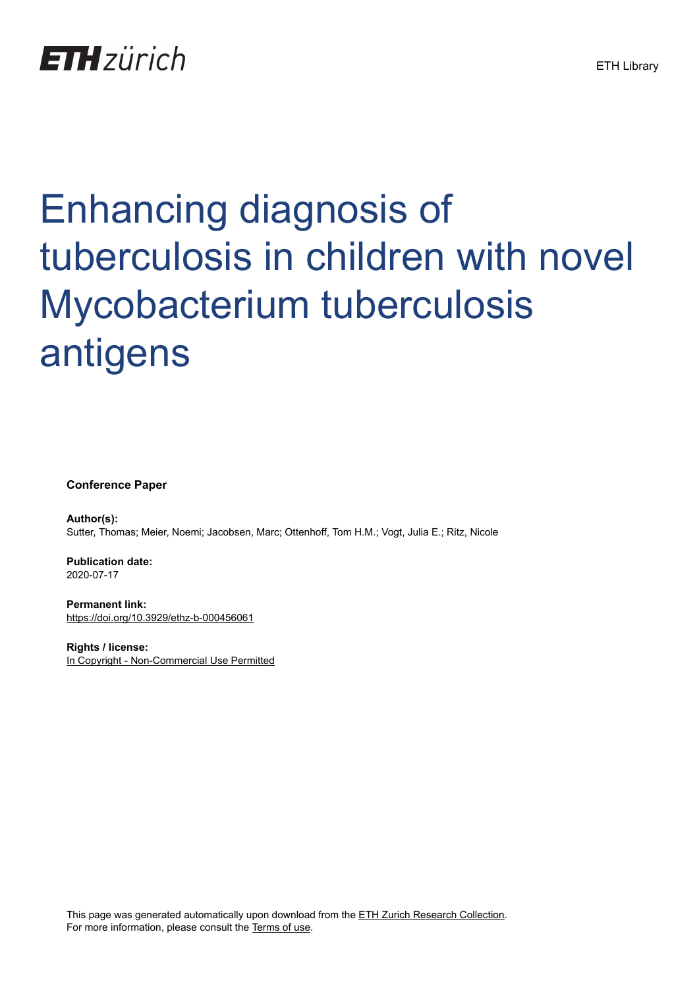

# Enhancing diagnosis of tuberculosis in children with novel Mycobacterium tuberculosis antigens

**Conference Paper**

**Author(s):** Sutter, Thomas; Meier, Noemi; Jacobsen, Marc; Ottenhoff, Tom H.M.; Vogt, Julia E.; Ritz, Nicole

**Publication date:** 2020-07-17

**Permanent link:** <https://doi.org/10.3929/ethz-b-000456061>

**Rights / license:** [In Copyright - Non-Commercial Use Permitted](http://rightsstatements.org/page/InC-NC/1.0/)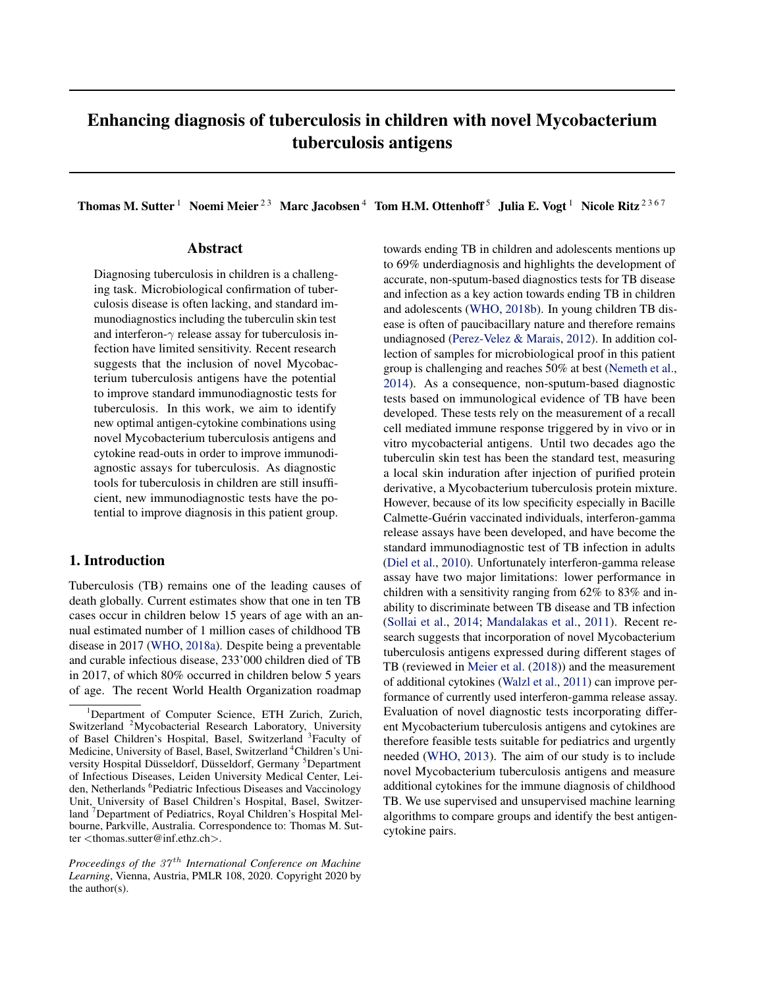# Enhancing diagnosis of tuberculosis in children with novel Mycobacterium tuberculosis antigens

### Abstract

Diagnosing tuberculosis in children is a challenging task. Microbiological confirmation of tuberculosis disease is often lacking, and standard immunodiagnostics including the tuberculin skin test and interferon- $\gamma$  release assay for tuberculosis infection have limited sensitivity. Recent research suggests that the inclusion of novel Mycobacterium tuberculosis antigens have the potential to improve standard immunodiagnostic tests for tuberculosis. In this work, we aim to identify new optimal antigen-cytokine combinations using novel Mycobacterium tuberculosis antigens and cytokine read-outs in order to improve immunodiagnostic assays for tuberculosis. As diagnostic tools for tuberculosis in children are still insufficient, new immunodiagnostic tests have the potential to improve diagnosis in this patient group.

# 1. Introduction

Tuberculosis (TB) remains one of the leading causes of death globally. Current estimates show that one in ten TB cases occur in children below 15 years of age with an annual estimated number of 1 million cases of childhood TB disease in 2017 [\(WHO,](#page-5-0) [2018a\)](#page-5-0). Despite being a preventable and curable infectious disease, 233'000 children died of TB in 2017, of which 80% occurred in children below 5 years of age. The recent World Health Organization roadmap

Thomas M. Sutter<sup>1</sup> Noemi Meier<sup>23</sup> Marc Jacobsen<sup>4</sup> Tom H.M. Ottenhoff<sup>5</sup> Julia E. Vogt<sup>1</sup> Nicole Ritz<sup>2367</sup>

towards ending TB in children and adolescents mentions up to 69% underdiagnosis and highlights the development of accurate, non-sputum-based diagnostics tests for TB disease and infection as a key action towards ending TB in children and adolescents [\(WHO,](#page-5-0) [2018b\)](#page-5-0). In young children TB disease is often of paucibacillary nature and therefore remains undiagnosed [\(Perez-Velez & Marais,](#page-5-0) [2012\)](#page-5-0). In addition collection of samples for microbiological proof in this patient group is challenging and reaches 50% at best [\(Nemeth et al.,](#page-5-0) [2014\)](#page-5-0). As a consequence, non-sputum-based diagnostic tests based on immunological evidence of TB have been developed. These tests rely on the measurement of a recall cell mediated immune response triggered by in vivo or in vitro mycobacterial antigens. Until two decades ago the tuberculin skin test has been the standard test, measuring a local skin induration after injection of purified protein derivative, a Mycobacterium tuberculosis protein mixture. However, because of its low specificity especially in Bacille Calmette-Guérin vaccinated individuals, interferon-gamma release assays have been developed, and have become the standard immunodiagnostic test of TB infection in adults [\(Diel et al.,](#page-5-0) [2010\)](#page-5-0). Unfortunately interferon-gamma release assay have two major limitations: lower performance in children with a sensitivity ranging from 62% to 83% and inability to discriminate between TB disease and TB infection [\(Sollai et al.,](#page-5-0) [2014;](#page-5-0) [Mandalakas et al.,](#page-5-0) [2011\)](#page-5-0). Recent research suggests that incorporation of novel Mycobacterium tuberculosis antigens expressed during different stages of TB (reviewed in [Meier et al.](#page-5-0) [\(2018\)](#page-5-0)) and the measurement of additional cytokines [\(Walzl et al.,](#page-5-0) [2011\)](#page-5-0) can improve performance of currently used interferon-gamma release assay. Evaluation of novel diagnostic tests incorporating different Mycobacterium tuberculosis antigens and cytokines are therefore feasible tests suitable for pediatrics and urgently needed [\(WHO,](#page-5-0) [2013\)](#page-5-0). The aim of our study is to include novel Mycobacterium tuberculosis antigens and measure additional cytokines for the immune diagnosis of childhood TB. We use supervised and unsupervised machine learning algorithms to compare groups and identify the best antigencytokine pairs.

<sup>&</sup>lt;sup>1</sup>Department of Computer Science, ETH Zurich, Zurich, Switzerland <sup>2</sup>Mycobacterial Research Laboratory, University of Basel Children's Hospital, Basel, Switzerland <sup>3</sup>Faculty of Medicine, University of Basel, Basel, Switzerland <sup>4</sup>Children's University Hospital Düsseldorf, Düsseldorf, Germany <sup>5</sup>Department of Infectious Diseases, Leiden University Medical Center, Leiden, Netherlands <sup>6</sup>Pediatric Infectious Diseases and Vaccinology Unit, University of Basel Children's Hospital, Basel, Switzerland <sup>7</sup>Department of Pediatrics, Royal Children's Hospital Melbourne, Parkville, Australia. Correspondence to: Thomas M. Sutter <thomas.sutter@inf.ethz.ch>.

*Proceedings of the 37<sup>th</sup> International Conference on Machine Learning*, Vienna, Austria, PMLR 108, 2020. Copyright 2020 by the author(s).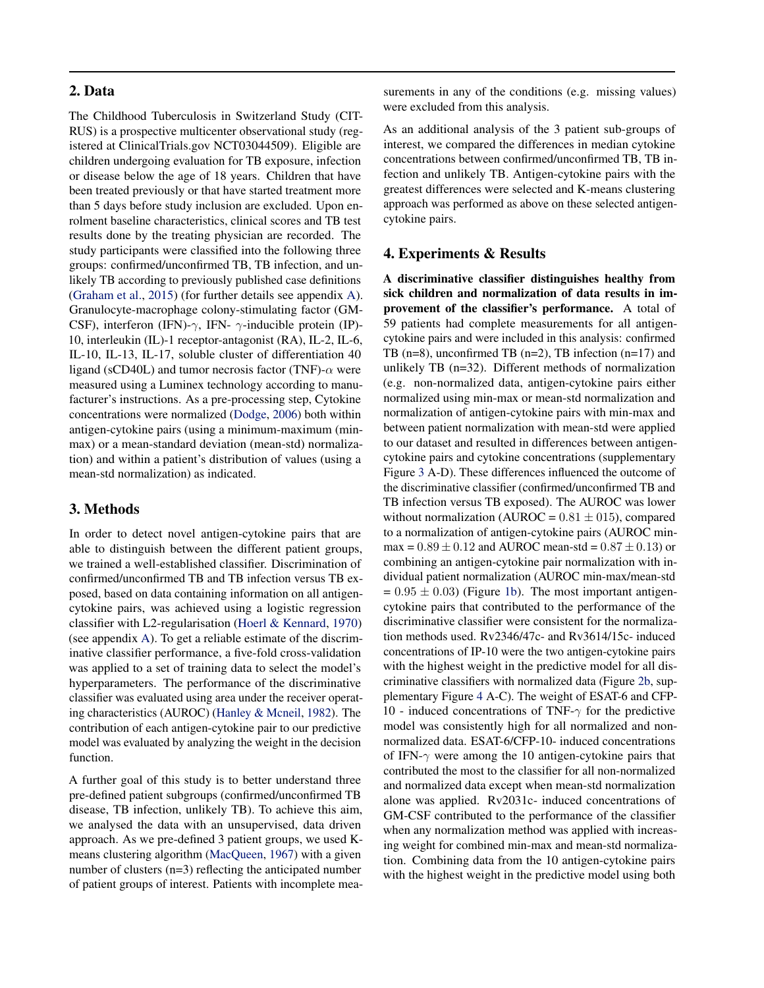#### 2. Data

The Childhood Tuberculosis in Switzerland Study (CIT-RUS) is a prospective multicenter observational study (registered at ClinicalTrials.gov NCT03044509). Eligible are children undergoing evaluation for TB exposure, infection or disease below the age of 18 years. Children that have been treated previously or that have started treatment more than 5 days before study inclusion are excluded. Upon enrolment baseline characteristics, clinical scores and TB test results done by the treating physician are recorded. The study participants were classified into the following three groups: confirmed/unconfirmed TB, TB infection, and unlikely TB according to previously published case definitions [\(Graham et al.,](#page-5-0) [2015\)](#page-5-0) (for further details see appendix [A\)](#page-6-0). Granulocyte-macrophage colony-stimulating factor (GM-CSF), interferon (IFN)- $\gamma$ , IFN-  $\gamma$ -inducible protein (IP)-10, interleukin (IL)-1 receptor-antagonist (RA), IL-2, IL-6, IL-10, IL-13, IL-17, soluble cluster of differentiation 40 ligand (sCD40L) and tumor necrosis factor (TNF)- $\alpha$  were measured using a Luminex technology according to manufacturer's instructions. As a pre-processing step, Cytokine concentrations were normalized [\(Dodge,](#page-5-0) [2006\)](#page-5-0) both within antigen-cytokine pairs (using a minimum-maximum (minmax) or a mean-standard deviation (mean-std) normalization) and within a patient's distribution of values (using a mean-std normalization) as indicated.

#### 3. Methods

In order to detect novel antigen-cytokine pairs that are able to distinguish between the different patient groups, we trained a well-established classifier. Discrimination of confirmed/unconfirmed TB and TB infection versus TB exposed, based on data containing information on all antigencytokine pairs, was achieved using a logistic regression classifier with L2-regularisation [\(Hoerl & Kennard,](#page-5-0) [1970\)](#page-5-0) (see appendix [A\)](#page-6-0). To get a reliable estimate of the discriminative classifier performance, a five-fold cross-validation was applied to a set of training data to select the model's hyperparameters. The performance of the discriminative classifier was evaluated using area under the receiver operating characteristics (AUROC) [\(Hanley & Mcneil,](#page-5-0) [1982\)](#page-5-0). The contribution of each antigen-cytokine pair to our predictive model was evaluated by analyzing the weight in the decision function.

A further goal of this study is to better understand three pre-defined patient subgroups (confirmed/unconfirmed TB disease, TB infection, unlikely TB). To achieve this aim, we analysed the data with an unsupervised, data driven approach. As we pre-defined 3 patient groups, we used Kmeans clustering algorithm [\(MacQueen,](#page-5-0) [1967\)](#page-5-0) with a given number of clusters (n=3) reflecting the anticipated number of patient groups of interest. Patients with incomplete measurements in any of the conditions (e.g. missing values) were excluded from this analysis.

As an additional analysis of the 3 patient sub-groups of interest, we compared the differences in median cytokine concentrations between confirmed/unconfirmed TB, TB infection and unlikely TB. Antigen-cytokine pairs with the greatest differences were selected and K-means clustering approach was performed as above on these selected antigencytokine pairs.

#### 4. Experiments & Results

A discriminative classifier distinguishes healthy from sick children and normalization of data results in improvement of the classifier's performance. A total of 59 patients had complete measurements for all antigencytokine pairs and were included in this analysis: confirmed TB ( $n=8$ ), unconfirmed TB ( $n=2$ ), TB infection ( $n=17$ ) and unlikely TB (n=32). Different methods of normalization (e.g. non-normalized data, antigen-cytokine pairs either normalized using min-max or mean-std normalization and normalization of antigen-cytokine pairs with min-max and between patient normalization with mean-std were applied to our dataset and resulted in differences between antigencytokine pairs and cytokine concentrations (supplementary Figure [3](#page-7-0) A-D). These differences influenced the outcome of the discriminative classifier (confirmed/unconfirmed TB and TB infection versus TB exposed). The AUROC was lower without normalization (AUROC =  $0.81 \pm 015$ ), compared to a normalization of antigen-cytokine pairs (AUROC minmax =  $0.89 \pm 0.12$  and AUROC mean-std =  $0.87 \pm 0.13$ ) or combining an antigen-cytokine pair normalization with individual patient normalization (AUROC min-max/mean-std  $= 0.95 \pm 0.03$ ) (Figure [1b\)](#page-3-0). The most important antigencytokine pairs that contributed to the performance of the discriminative classifier were consistent for the normalization methods used. Rv2346/47c- and Rv3614/15c- induced concentrations of IP-10 were the two antigen-cytokine pairs with the highest weight in the predictive model for all discriminative classifiers with normalized data (Figure [2b,](#page-4-0) supplementary Figure [4](#page-8-0) A-C). The weight of ESAT-6 and CFP-10 - induced concentrations of TNF- $\gamma$  for the predictive model was consistently high for all normalized and nonnormalized data. ESAT-6/CFP-10- induced concentrations of IFN- $\gamma$  were among the 10 antigen-cytokine pairs that contributed the most to the classifier for all non-normalized and normalized data except when mean-std normalization alone was applied. Rv2031c- induced concentrations of GM-CSF contributed to the performance of the classifier when any normalization method was applied with increasing weight for combined min-max and mean-std normalization. Combining data from the 10 antigen-cytokine pairs with the highest weight in the predictive model using both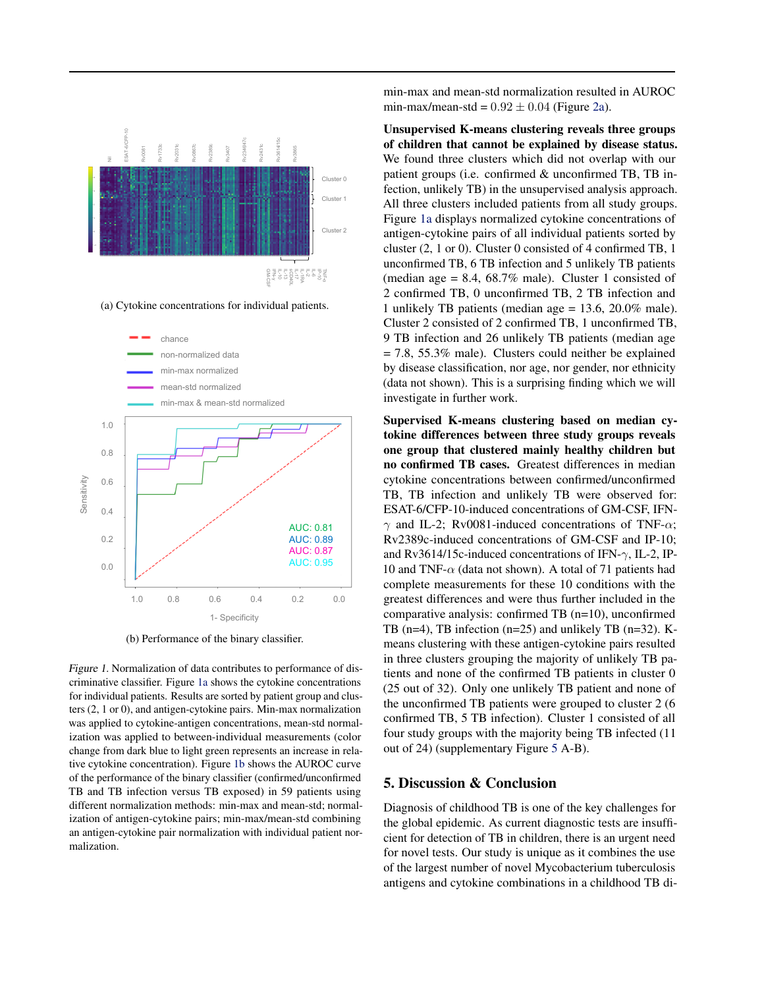<span id="page-3-0"></span>

(a) Cytokine concentrations for individual patients.



(b) Performance of the binary classifier.

Figure 1. Normalization of data contributes to performance of discriminative classifier. Figure 1a shows the cytokine concentrations for individual patients. Results are sorted by patient group and clusters (2, 1 or 0), and antigen-cytokine pairs. Min-max normalization was applied to cytokine-antigen concentrations, mean-std normalization was applied to between-individual measurements (color change from dark blue to light green represents an increase in relative cytokine concentration). Figure 1b shows the AUROC curve of the performance of the binary classifier (confirmed/unconfirmed TB and TB infection versus TB exposed) in 59 patients using different normalization methods: min-max and mean-std; normalization of antigen-cytokine pairs; min-max/mean-std combining an antigen-cytokine pair normalization with individual patient normalization.

min-max and mean-std normalization resulted in AUROC min-max/mean-std =  $0.92 \pm 0.04$  (Figure [2a\)](#page-4-0).

Unsupervised K-means clustering reveals three groups of children that cannot be explained by disease status. We found three clusters which did not overlap with our patient groups (i.e. confirmed & unconfirmed TB, TB infection, unlikely TB) in the unsupervised analysis approach. All three clusters included patients from all study groups. Figure 1a displays normalized cytokine concentrations of antigen-cytokine pairs of all individual patients sorted by cluster (2, 1 or 0). Cluster 0 consisted of 4 confirmed TB, 1 unconfirmed TB, 6 TB infection and 5 unlikely TB patients (median age  $= 8.4, 68.7\%$  male). Cluster 1 consisted of 2 confirmed TB, 0 unconfirmed TB, 2 TB infection and 1 unlikely TB patients (median age = 13.6, 20.0% male). Cluster 2 consisted of 2 confirmed TB, 1 unconfirmed TB, 9 TB infection and 26 unlikely TB patients (median age  $= 7.8, 55.3\%$  male). Clusters could neither be explained by disease classification, nor age, nor gender, nor ethnicity (data not shown). This is a surprising finding which we will investigate in further work.

Supervised K-means clustering based on median cytokine differences between three study groups reveals one group that clustered mainly healthy children but no confirmed TB cases. Greatest differences in median cytokine concentrations between confirmed/unconfirmed TB, TB infection and unlikely TB were observed for: ESAT-6/CFP-10-induced concentrations of GM-CSF, IFN- $\gamma$  and IL-2; Rv0081-induced concentrations of TNF- $\alpha$ ; Rv2389c-induced concentrations of GM-CSF and IP-10; and Rv3614/15c-induced concentrations of IFN- $\gamma$ , IL-2, IP-10 and TNF- $\alpha$  (data not shown). A total of 71 patients had complete measurements for these 10 conditions with the greatest differences and were thus further included in the comparative analysis: confirmed TB (n=10), unconfirmed TB (n=4), TB infection (n=25) and unlikely TB (n=32). Kmeans clustering with these antigen-cytokine pairs resulted in three clusters grouping the majority of unlikely TB patients and none of the confirmed TB patients in cluster 0 (25 out of 32). Only one unlikely TB patient and none of the unconfirmed TB patients were grouped to cluster 2 (6 confirmed TB, 5 TB infection). Cluster 1 consisted of all four study groups with the majority being TB infected (11 out of 24) (supplementary Figure [5](#page-8-0) A-B).

### 5. Discussion & Conclusion

Diagnosis of childhood TB is one of the key challenges for the global epidemic. As current diagnostic tests are insufficient for detection of TB in children, there is an urgent need for novel tests. Our study is unique as it combines the use of the largest number of novel Mycobacterium tuberculosis antigens and cytokine combinations in a childhood TB di-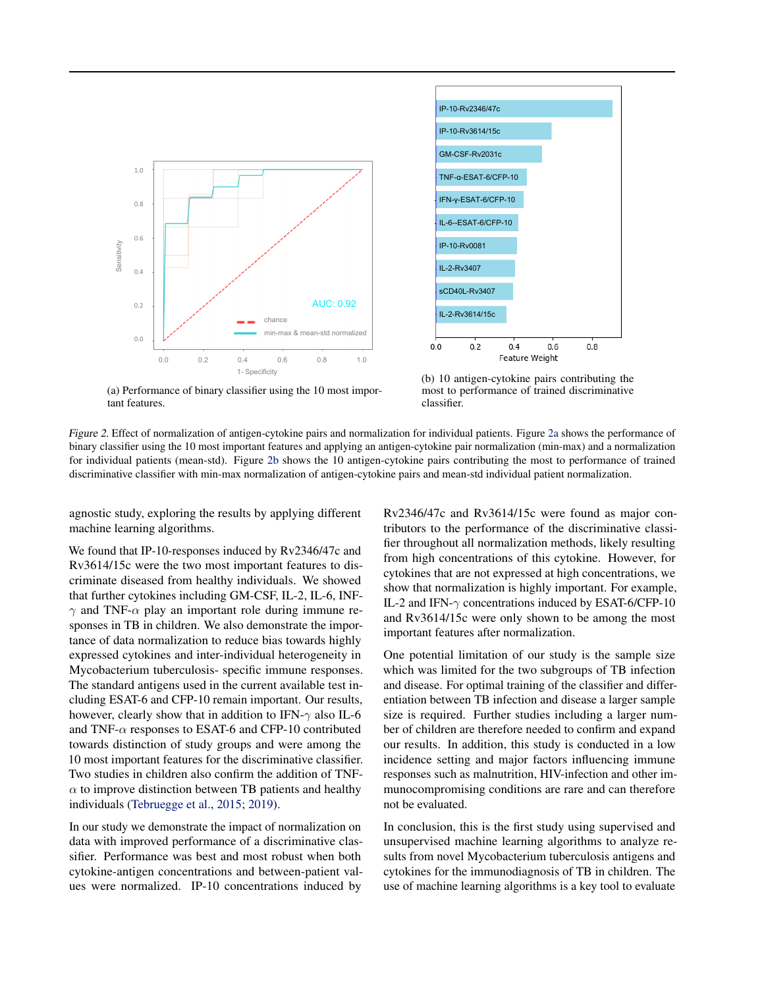<span id="page-4-0"></span>



(a) Performance of binary classifier using the 10 most important features.

(b) 10 antigen-cytokine pairs contributing the most to performance of trained discriminative classifier.

Figure 2. Effect of normalization of antigen-cytokine pairs and normalization for individual patients. Figure 2a shows the performance of binary classifier using the 10 most important features and applying an antigen-cytokine pair normalization (min-max) and a normalization for individual patients (mean-std). Figure 2b shows the 10 antigen-cytokine pairs contributing the most to performance of trained discriminative classifier with min-max normalization of antigen-cytokine pairs and mean-std individual patient normalization.

agnostic study, exploring the results by applying different machine learning algorithms.

We found that IP-10-responses induced by Rv2346/47c and Rv3614/15c were the two most important features to discriminate diseased from healthy individuals. We showed that further cytokines including GM-CSF, IL-2, IL-6, INF- $\gamma$  and TNF- $\alpha$  play an important role during immune responses in TB in children. We also demonstrate the importance of data normalization to reduce bias towards highly expressed cytokines and inter-individual heterogeneity in Mycobacterium tuberculosis- specific immune responses. The standard antigens used in the current available test including ESAT-6 and CFP-10 remain important. Our results, however, clearly show that in addition to IFN- $\gamma$  also IL-6 and TNF- $\alpha$  responses to ESAT-6 and CFP-10 contributed towards distinction of study groups and were among the 10 most important features for the discriminative classifier. Two studies in children also confirm the addition of TNF- $\alpha$  to improve distinction between TB patients and healthy individuals [\(Tebruegge et al.,](#page-5-0) [2015;](#page-5-0) [2019\)](#page-5-0).

In our study we demonstrate the impact of normalization on data with improved performance of a discriminative classifier. Performance was best and most robust when both cytokine-antigen concentrations and between-patient values were normalized. IP-10 concentrations induced by Rv2346/47c and Rv3614/15c were found as major contributors to the performance of the discriminative classifier throughout all normalization methods, likely resulting from high concentrations of this cytokine. However, for cytokines that are not expressed at high concentrations, we show that normalization is highly important. For example, IL-2 and IFN- $\gamma$  concentrations induced by ESAT-6/CFP-10 and Rv3614/15c were only shown to be among the most important features after normalization.

One potential limitation of our study is the sample size which was limited for the two subgroups of TB infection and disease. For optimal training of the classifier and differentiation between TB infection and disease a larger sample size is required. Further studies including a larger number of children are therefore needed to confirm and expand our results. In addition, this study is conducted in a low incidence setting and major factors influencing immune responses such as malnutrition, HIV-infection and other immunocompromising conditions are rare and can therefore not be evaluated.

In conclusion, this is the first study using supervised and unsupervised machine learning algorithms to analyze results from novel Mycobacterium tuberculosis antigens and cytokines for the immunodiagnosis of TB in children. The use of machine learning algorithms is a key tool to evaluate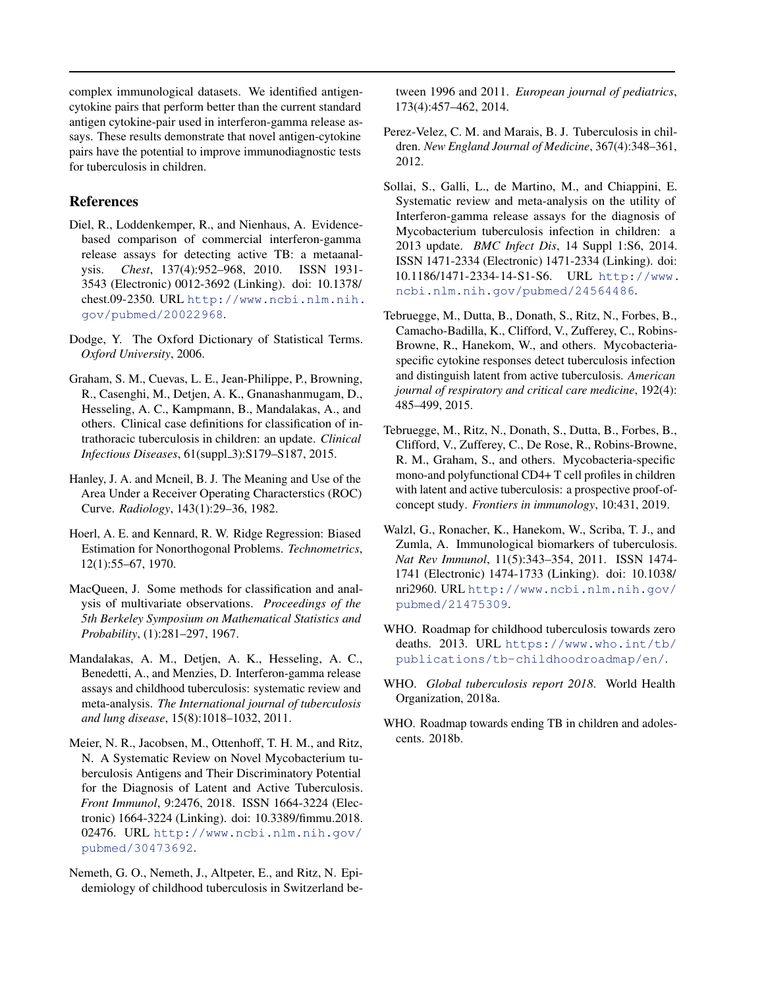<span id="page-5-0"></span>complex immunological datasets. We identified antigencytokine pairs that perform better than the current standard antigen cytokine-pair used in interferon-gamma release assays. These results demonstrate that novel antigen-cytokine pairs have the potential to improve immunodiagnostic tests for tuberculosis in children.

# References

- Diel, R., Loddenkemper, R., and Nienhaus, A. Evidencebased comparison of commercial interferon-gamma release assays for detecting active TB: a metaanalysis. *Chest*, 137(4):952–968, 2010. ISSN 1931- 3543 (Electronic) 0012-3692 (Linking). doi: 10.1378/ chest.09-2350. URL [http://www.ncbi.nlm.nih.](http://www.ncbi.nlm.nih.gov/pubmed/20022968) [gov/pubmed/20022968](http://www.ncbi.nlm.nih.gov/pubmed/20022968).
- Dodge, Y. The Oxford Dictionary of Statistical Terms. *Oxford University*, 2006.
- Graham, S. M., Cuevas, L. E., Jean-Philippe, P., Browning, R., Casenghi, M., Detjen, A. K., Gnanashanmugam, D., Hesseling, A. C., Kampmann, B., Mandalakas, A., and others. Clinical case definitions for classification of intrathoracic tuberculosis in children: an update. *Clinical Infectious Diseases*, 61(suppl\_3):S179-S187, 2015.
- Hanley, J. A. and Mcneil, B. J. The Meaning and Use of the Area Under a Receiver Operating Characterstics (ROC) Curve. *Radiology*, 143(1):29–36, 1982.
- Hoerl, A. E. and Kennard, R. W. Ridge Regression: Biased Estimation for Nonorthogonal Problems. *Technometrics*, 12(1):55–67, 1970.
- MacQueen, J. Some methods for classification and analysis of multivariate observations. *Proceedings of the 5th Berkeley Symposium on Mathematical Statistics and Probability*, (1):281–297, 1967.
- Mandalakas, A. M., Detjen, A. K., Hesseling, A. C., Benedetti, A., and Menzies, D. Interferon-gamma release assays and childhood tuberculosis: systematic review and meta-analysis. *The International journal of tuberculosis and lung disease*, 15(8):1018–1032, 2011.
- Meier, N. R., Jacobsen, M., Ottenhoff, T. H. M., and Ritz, N. A Systematic Review on Novel Mycobacterium tuberculosis Antigens and Their Discriminatory Potential for the Diagnosis of Latent and Active Tuberculosis. *Front Immunol*, 9:2476, 2018. ISSN 1664-3224 (Electronic) 1664-3224 (Linking). doi: 10.3389/fimmu.2018. 02476. URL [http://www.ncbi.nlm.nih.gov/](http://www.ncbi.nlm.nih.gov/pubmed/30473692) [pubmed/30473692](http://www.ncbi.nlm.nih.gov/pubmed/30473692).
- Nemeth, G. O., Nemeth, J., Altpeter, E., and Ritz, N. Epidemiology of childhood tuberculosis in Switzerland be-

tween 1996 and 2011. *European journal of pediatrics*, 173(4):457–462, 2014.

- Perez-Velez, C. M. and Marais, B. J. Tuberculosis in children. *New England Journal of Medicine*, 367(4):348–361, 2012.
- Sollai, S., Galli, L., de Martino, M., and Chiappini, E. Systematic review and meta-analysis on the utility of Interferon-gamma release assays for the diagnosis of Mycobacterium tuberculosis infection in children: a 2013 update. *BMC Infect Dis*, 14 Suppl 1:S6, 2014. ISSN 1471-2334 (Electronic) 1471-2334 (Linking). doi: 10.1186/1471-2334-14-S1-S6. URL [http://www.](http://www.ncbi.nlm.nih.gov/pubmed/24564486) [ncbi.nlm.nih.gov/pubmed/24564486](http://www.ncbi.nlm.nih.gov/pubmed/24564486).
- Tebruegge, M., Dutta, B., Donath, S., Ritz, N., Forbes, B., Camacho-Badilla, K., Clifford, V., Zufferey, C., Robins-Browne, R., Hanekom, W., and others. Mycobacteriaspecific cytokine responses detect tuberculosis infection and distinguish latent from active tuberculosis. *American journal of respiratory and critical care medicine*, 192(4): 485–499, 2015.
- Tebruegge, M., Ritz, N., Donath, S., Dutta, B., Forbes, B., Clifford, V., Zufferey, C., De Rose, R., Robins-Browne, R. M., Graham, S., and others. Mycobacteria-specific mono-and polyfunctional CD4+ T cell profiles in children with latent and active tuberculosis: a prospective proof-ofconcept study. *Frontiers in immunology*, 10:431, 2019.
- Walzl, G., Ronacher, K., Hanekom, W., Scriba, T. J., and Zumla, A. Immunological biomarkers of tuberculosis. *Nat Rev Immunol*, 11(5):343–354, 2011. ISSN 1474- 1741 (Electronic) 1474-1733 (Linking). doi: 10.1038/ nri2960. URL [http://www.ncbi.nlm.nih.gov/](http://www.ncbi.nlm.nih.gov/pubmed/21475309) [pubmed/21475309](http://www.ncbi.nlm.nih.gov/pubmed/21475309).
- WHO. Roadmap for childhood tuberculosis towards zero deaths. 2013. URL [https://www.who.int/tb/](https://www.who.int/tb/publications/tb-childhoodroadmap/en/) [publications/tb-childhoodroadmap/en/](https://www.who.int/tb/publications/tb-childhoodroadmap/en/).
- WHO. *Global tuberculosis report 2018*. World Health Organization, 2018a.
- WHO. Roadmap towards ending TB in children and adolescents. 2018b.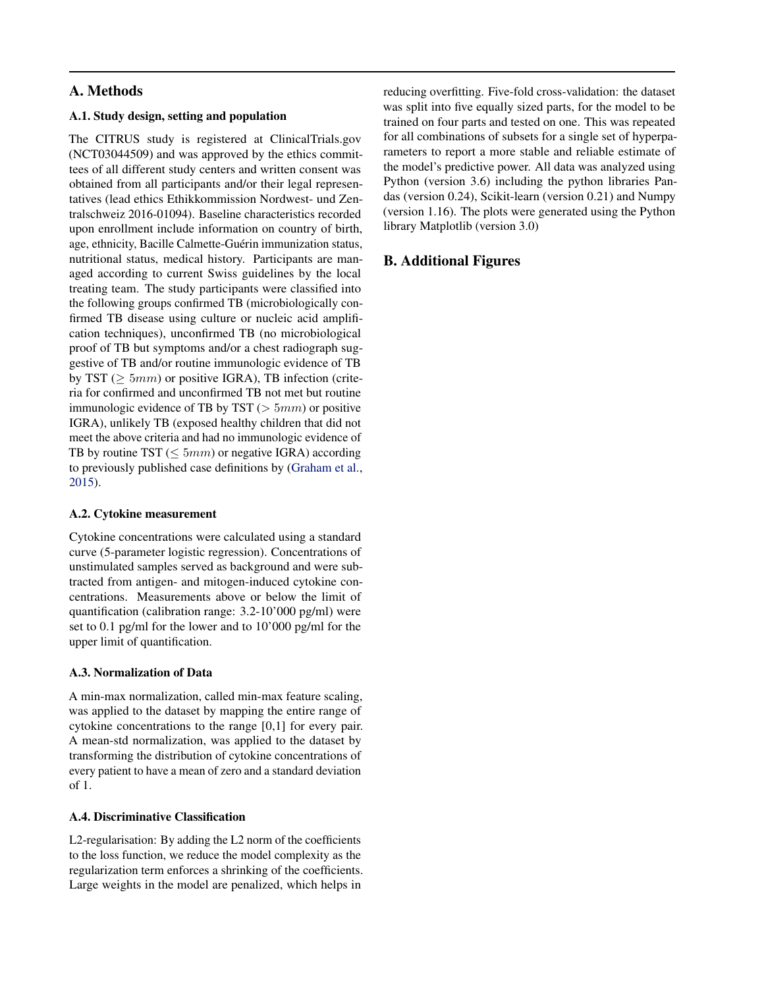# <span id="page-6-0"></span>A. Methods

#### A.1. Study design, setting and population

The CITRUS study is registered at ClinicalTrials.gov (NCT03044509) and was approved by the ethics committees of all different study centers and written consent was obtained from all participants and/or their legal representatives (lead ethics Ethikkommission Nordwest- und Zentralschweiz 2016-01094). Baseline characteristics recorded upon enrollment include information on country of birth, age, ethnicity, Bacille Calmette-Guérin immunization status, nutritional status, medical history. Participants are managed according to current Swiss guidelines by the local treating team. The study participants were classified into the following groups confirmed TB (microbiologically confirmed TB disease using culture or nucleic acid amplification techniques), unconfirmed TB (no microbiological proof of TB but symptoms and/or a chest radiograph suggestive of TB and/or routine immunologic evidence of TB by TST ( $\geq 5mm$ ) or positive IGRA), TB infection (criteria for confirmed and unconfirmed TB not met but routine immunologic evidence of TB by TST ( $> 5mm$ ) or positive IGRA), unlikely TB (exposed healthy children that did not meet the above criteria and had no immunologic evidence of TB by routine TST ( $\leq 5mm$ ) or negative IGRA) according to previously published case definitions by [\(Graham et al.,](#page-5-0) [2015\)](#page-5-0).

# A.2. Cytokine measurement

Cytokine concentrations were calculated using a standard curve (5-parameter logistic regression). Concentrations of unstimulated samples served as background and were subtracted from antigen- and mitogen-induced cytokine concentrations. Measurements above or below the limit of quantification (calibration range: 3.2-10'000 pg/ml) were set to 0.1 pg/ml for the lower and to 10'000 pg/ml for the upper limit of quantification.

# A.3. Normalization of Data

A min-max normalization, called min-max feature scaling, was applied to the dataset by mapping the entire range of cytokine concentrations to the range [0,1] for every pair. A mean-std normalization, was applied to the dataset by transforming the distribution of cytokine concentrations of every patient to have a mean of zero and a standard deviation of 1.

#### A.4. Discriminative Classification

L2-regularisation: By adding the L2 norm of the coefficients to the loss function, we reduce the model complexity as the regularization term enforces a shrinking of the coefficients. Large weights in the model are penalized, which helps in

reducing overfitting. Five-fold cross-validation: the dataset was split into five equally sized parts, for the model to be trained on four parts and tested on one. This was repeated for all combinations of subsets for a single set of hyperparameters to report a more stable and reliable estimate of the model's predictive power. All data was analyzed using Python (version 3.6) including the python libraries Pandas (version 0.24), Scikit-learn (version 0.21) and Numpy (version 1.16). The plots were generated using the Python library Matplotlib (version 3.0)

# B. Additional Figures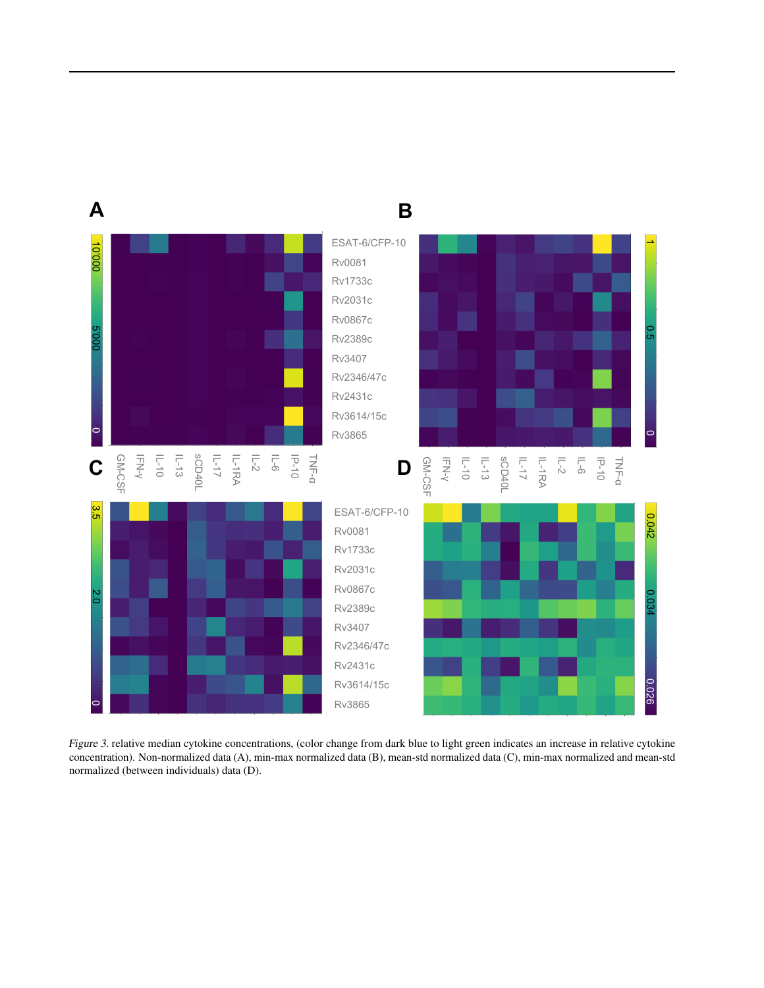<span id="page-7-0"></span>

Figure 3. relative median cytokine concentrations, (color change from dark blue to light green indicates an increase in relative cytokine concentration). Non-normalized data (A), min-max normalized data (B), mean-std normalized data (C), min-max normalized and mean-std normalized (between individuals) data (D).